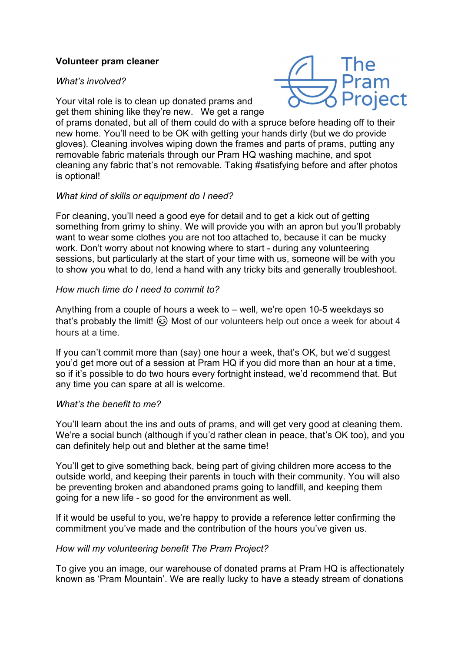# Volunteer pram cleaner

### What's involved?



Your vital role is to clean up donated prams and get them shining like they're new. We get a range

of prams donated, but all of them could do with a spruce before heading off to their new home. You'll need to be OK with getting your hands dirty (but we do provide gloves). Cleaning involves wiping down the frames and parts of prams, putting any removable fabric materials through our Pram HQ washing machine, and spot cleaning any fabric that's not removable. Taking #satisfying before and after photos is optional!

### What kind of skills or equipment do I need?

For cleaning, you'll need a good eye for detail and to get a kick out of getting something from grimy to shiny. We will provide you with an apron but you'll probably want to wear some clothes you are not too attached to, because it can be mucky work. Don't worry about not knowing where to start - during any volunteering sessions, but particularly at the start of your time with us, someone will be with you to show you what to do, lend a hand with any tricky bits and generally troubleshoot.

### How much time do I need to commit to?

Anything from a couple of hours a week to – well, we're open 10-5 weekdays so that's probably the limit!  $\odot$  Most of our volunteers help out once a week for about 4 hours at a time.

If you can't commit more than (say) one hour a week, that's OK, but we'd suggest you'd get more out of a session at Pram HQ if you did more than an hour at a time, so if it's possible to do two hours every fortnight instead, we'd recommend that. But any time you can spare at all is welcome.

#### What's the benefit to me?

You'll learn about the ins and outs of prams, and will get very good at cleaning them. We're a social bunch (although if you'd rather clean in peace, that's OK too), and you can definitely help out and blether at the same time!

You'll get to give something back, being part of giving children more access to the outside world, and keeping their parents in touch with their community. You will also be preventing broken and abandoned prams going to landfill, and keeping them going for a new life - so good for the environment as well.

If it would be useful to you, we're happy to provide a reference letter confirming the commitment you've made and the contribution of the hours you've given us.

#### How will my volunteering benefit The Pram Project?

To give you an image, our warehouse of donated prams at Pram HQ is affectionately known as 'Pram Mountain'. We are really lucky to have a steady stream of donations